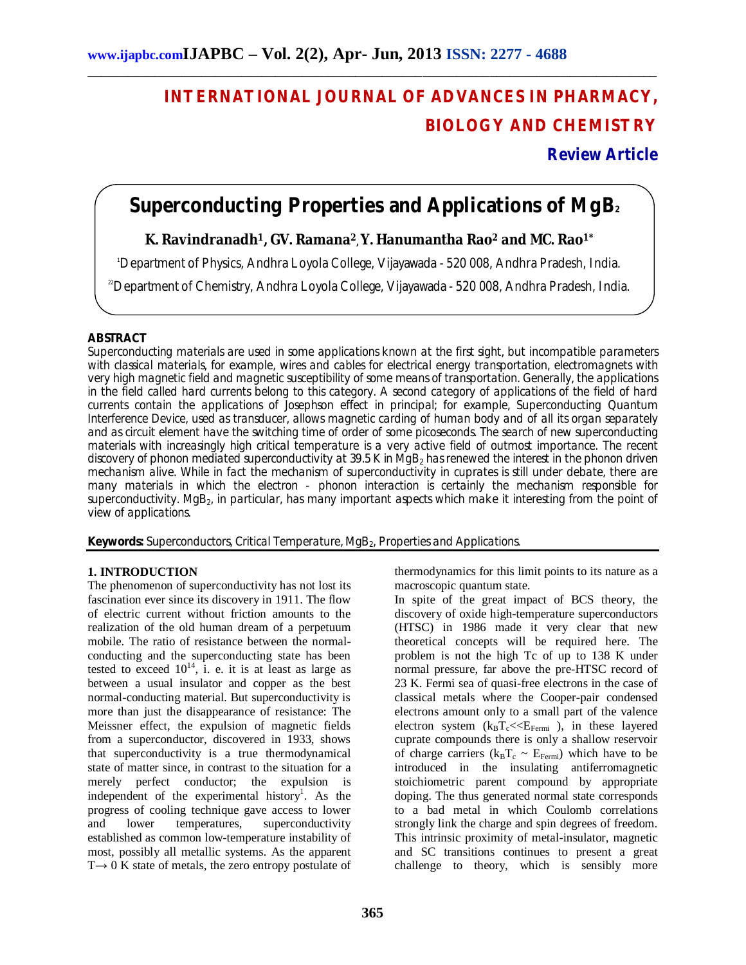# **INTERNATIONAL JOURNAL OF ADVANCES IN PHARMACY, BIOLOGY AND CHEMISTRY**

**Review Article**

## **Superconducting Properties and Applications of MgB<sup>2</sup>**

**\_\_\_\_\_\_\_\_\_\_\_\_\_\_\_\_\_\_\_\_\_\_\_\_\_\_\_\_\_\_\_\_\_\_\_\_\_\_\_\_\_\_\_\_\_\_\_\_\_\_\_\_\_\_\_\_\_\_\_\_\_\_\_\_\_\_\_\_\_\_\_\_\_\_\_\_\_\_\_\_\_\_\_\_\_**

## **K. Ravindranadh1, GV. Ramana<sup>2</sup> , Y. Hanumantha Rao<sup>2</sup> and MC. Rao1\***

<sup>1</sup>Department of Physics, Andhra Loyola College, Vijayawada - 520 008, Andhra Pradesh, India.

<sup>22</sup>Department of Chemistry, Andhra Loyola College, Vijayawada - 520 008, Andhra Pradesh, India.

### **ABSTRACT**

Superconducting materials are used in some applications known at the first sight, but incompatible parameters with classical materials, for example, wires and cables for electrical energy transportation, electromagnets with very high magnetic field and magnetic susceptibility of some means of transportation. Generally, the applications in the field called hard currents belong to this category. A second category of applications of the field of hard currents contain the applications of Josephson effect in principal; for example, Superconducting Quantum Interference Device, used as transducer, allows magnetic carding of human body and of all its organ separately and as circuit element have the switching time of order of some picoseconds. The search of new superconducting materials with increasingly high critical temperature is a very active field of outmost importance. The recent discovery of phonon mediated superconductivity at 39.5 K in MgB<sub>2</sub> has renewed the interest in the phonon driven mechanism alive. While in fact the mechanism of superconductivity in cuprates is still under debate, there are many materials in which the electron - phonon interaction is certainly the mechanism responsible for superconductivity. MgB<sub>2</sub>, in particular, has many important aspects which make it interesting from the point of view of applications.

**Keywords:** Superconductors, Critical Temperature, MgB<sub>2</sub>, Properties and Applications.

#### **1. INTRODUCTION**

The phenomenon of superconductivity has not lost its fascination ever since its discovery in 1911. The flow of electric current without friction amounts to the realization of the old human dream of a perpetuum mobile. The ratio of resistance between the normalconducting and the superconducting state has been tested to exceed  $10^{14}$ , i. e. it is at least as large as between a usual insulator and copper as the best normal-conducting material. But superconductivity is more than just the disappearance of resistance: The Meissner effect, the expulsion of magnetic fields from a superconductor, discovered in 1933, shows that superconductivity is a true thermodynamical state of matter since, in contrast to the situation for a merely perfect conductor; the expulsion is independent of the experimental history<sup>1</sup>. As the progress of cooling technique gave access to lower and lower temperatures, superconductivity established as common low-temperature instability of most, possibly all metallic systems. As the apparent  $T \rightarrow 0$  K state of metals, the zero entropy postulate of thermodynamics for this limit points to its nature as a macroscopic quantum state.

In spite of the great impact of BCS theory, the discovery of oxide high-temperature superconductors (HTSC) in 1986 made it very clear that new theoretical concepts will be required here. The problem is not the high Tc of up to 138 K under normal pressure, far above the pre-HTSC record of 23 K. Fermi sea of quasi-free electrons in the case of classical metals where the Cooper-pair condensed electrons amount only to a small part of the valence electron system  $(k_B T_c \ll E_{Fermi})$ , in these layered cuprate compounds there is only a shallow reservoir of charge carriers ( $k_B T_c \sim E_{Fermi}$ ) which have to be introduced in the insulating antiferromagnetic stoichiometric parent compound by appropriate doping. The thus generated normal state corresponds to a bad metal in which Coulomb correlations strongly link the charge and spin degrees of freedom. This intrinsic proximity of metal-insulator, magnetic and SC transitions continues to present a great challenge to theory, which is sensibly more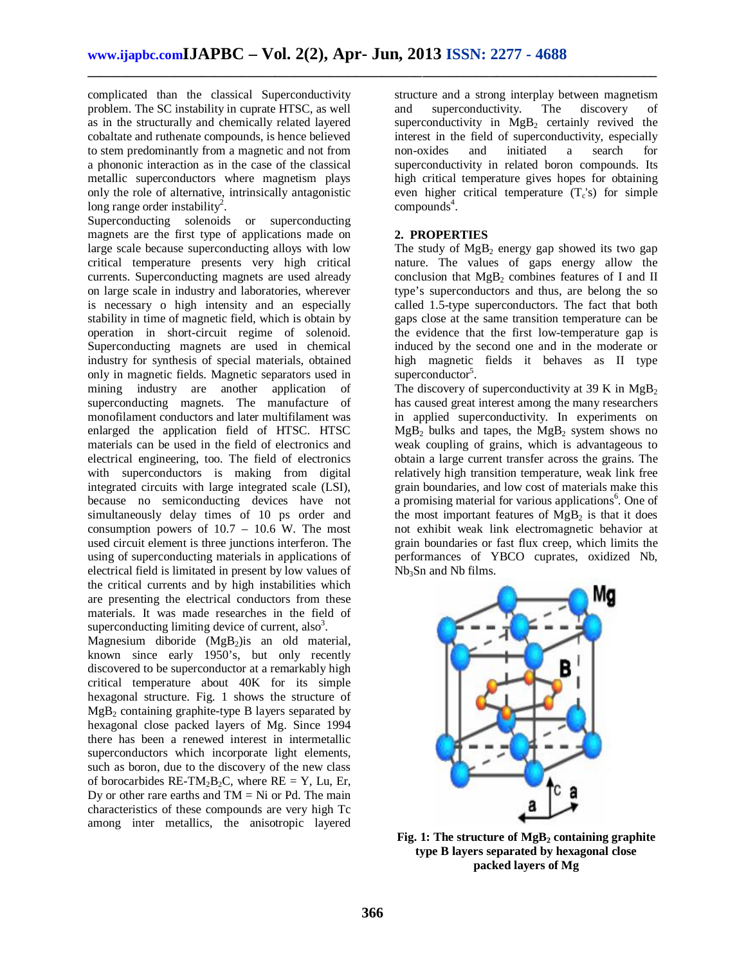**\_\_\_\_\_\_\_\_\_\_\_\_\_\_\_\_\_\_\_\_\_\_\_\_\_\_\_\_\_\_\_\_\_\_\_\_\_\_\_\_\_\_\_\_\_\_\_\_\_\_\_\_\_\_\_\_\_\_\_\_\_\_\_\_\_\_\_\_\_\_\_\_\_\_\_\_\_\_\_\_\_\_\_\_\_**

complicated than the classical Superconductivity problem. The SC instability in cuprate HTSC, as well as in the structurally and chemically related layered cobaltate and ruthenate compounds, is hence believed to stem predominantly from a magnetic and not from a phononic interaction as in the case of the classical metallic superconductors where magnetism plays only the role of alternative, intrinsically antagonistic long range order instability<sup>2</sup>.

Superconducting solenoids or superconducting magnets are the first type of applications made on large scale because superconducting alloys with low critical temperature presents very high critical currents. Superconducting magnets are used already on large scale in industry and laboratories, wherever is necessary o high intensity and an especially stability in time of magnetic field, which is obtain by operation in short-circuit regime of solenoid. Superconducting magnets are used in chemical industry for synthesis of special materials, obtained only in magnetic fields. Magnetic separators used in mining industry are another application of superconducting magnets. The manufacture of monofilament conductors and later multifilament was enlarged the application field of HTSC. HTSC materials can be used in the field of electronics and electrical engineering, too. The field of electronics with superconductors is making from digital integrated circuits with large integrated scale (LSI), because no semiconducting devices have not simultaneously delay times of 10 ps order and consumption powers of 10.7 – 10.6 W. The most used circuit element is three junctions interferon. The using of superconducting materials in applications of electrical field is limitated in present by low values of the critical currents and by high instabilities which are presenting the electrical conductors from these materials. It was made researches in the field of superconducting limiting device of current,  $also<sup>3</sup>$ .

Magnesium diboride (MgB<sub>2</sub>) is an old material, known since early 1950's, but only recently discovered to be superconductor at a remarkably high critical temperature about 40K for its simple hexagonal structure. Fig. 1 shows the structure of  $MgB<sub>2</sub>$  containing graphite-type B layers separated by hexagonal close packed layers of Mg. Since 1994 there has been a renewed interest in intermetallic superconductors which incorporate light elements, such as boron, due to the discovery of the new class of borocarbides RE-TM<sub>2</sub>B<sub>2</sub>C, where RE = Y, Lu, Er, Dy or other rare earths and  $TM = Ni$  or Pd. The main characteristics of these compounds are very high Tc among inter metallics, the anisotropic layered

structure and a strong interplay between magnetism<br>and superconductivity. The discovery of and superconductivity. The discovery of superconductivity in  $MgB<sub>2</sub>$  certainly revived the interest in the field of superconductivity, especially non-oxides and initiated a search for superconductivity in related boron compounds. Its high critical temperature gives hopes for obtaining even higher critical temperature  $(T_c's)$  for simple  $compounds<sup>4</sup>$ .

#### **2. PROPERTIES**

The study of  $MgB_2$  energy gap showed its two gap nature. The values of gaps energy allow the conclusion that  $MgB_2$  combines features of I and II type's superconductors and thus, are belong the so called 1.5-type superconductors. The fact that both gaps close at the same transition temperature can be the evidence that the first low-temperature gap is induced by the second one and in the moderate or high magnetic fields it behaves as II type superconductor<sup>5</sup>.

The discovery of superconductivity at 39 K in  $MgB<sub>2</sub>$ has caused great interest among the many researchers in applied superconductivity. In experiments on  $MgB<sub>2</sub>$  bulks and tapes, the  $MgB<sub>2</sub>$  system shows no weak coupling of grains, which is advantageous to obtain a large current transfer across the grains. The relatively high transition temperature, weak link free grain boundaries, and low cost of materials make this a promising material for various applications<sup>6</sup>. One of the most important features of  $MgB<sub>2</sub>$  is that it does not exhibit weak link electromagnetic behavior at grain boundaries or fast flux creep, which limits the performances of YBCO cuprates, oxidized Nb,  $Nb<sub>3</sub>Sn$  and Nb films.



**Fig. 1: The structure of MgB<sup>2</sup> containing graphite type B layers separated by hexagonal close packed layers of Mg**